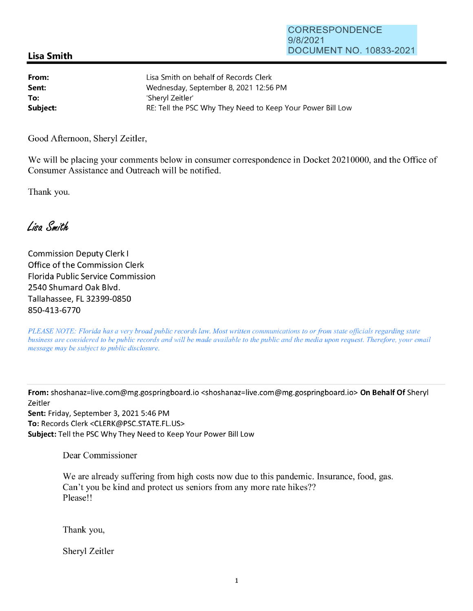## **Lisa Smith**

| From:    | Lisa Smith on behalf of Records Clerk                      |
|----------|------------------------------------------------------------|
| Sent:    | Wednesday, September 8, 2021 12:56 PM                      |
| To:      | 'Shervl Zeitler'                                           |
| Subject: | RE: Tell the PSC Why They Need to Keep Your Power Bill Low |

Good Afternoon, Sheryl Zeitler,

We will be placing your comments below in consumer correspondence in Docket 20210000, and the Office of Consumer Assistance and Outreach will be notified.

Thank you.

Lien Smith

Commission Deputy Clerk I Office of the Commission Clerk Florida Public Service Commission 2540 Shumard Oak Blvd. Tallahassee, FL 32399-0850 850-413-6770

*PLEASE NOTE: Florida has a very broad public records law. Most written communications to or from state officials regarding state business are considered to be public records and will be made available to the public and the media upon request. Therefore, your email message may be subject to public disclosure.* 

**From:** shoshanaz=live.com@mg.gospringboard.io <shoshanaz=live.com@mg.gospringboard.io> **On Behalf Of** Sheryl Zeitler **Sent:** Friday, September 3, 2021 5:46 PM **To:** Records Clerk <CLERK@PSC.STATE.FL.US> **Subject:** Tell the PSC Why They Need to Keep Your Power Bill Low

Dear Commissioner

We are already suffering from high costs now due to this pandemic. Insurance, food, gas. Can't you be kind and protect us seniors from any more rate hikes?? Please!!

Thank you,

Sheryl Zeitler